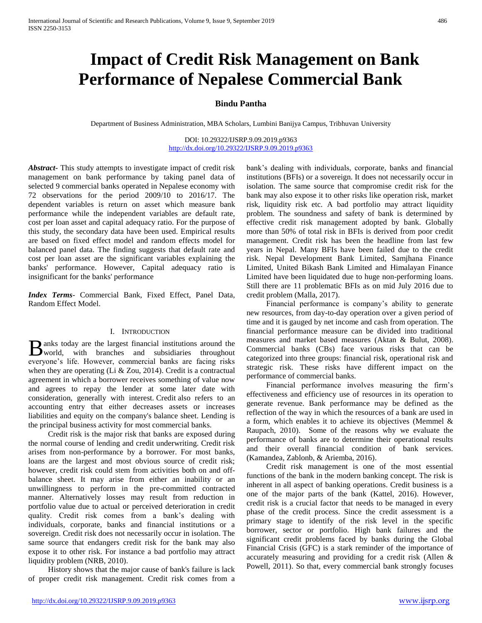# **Impact of Credit Risk Management on Bank Performance of Nepalese Commercial Bank**

# **Bindu Pantha**

Department of Business Administration, MBA Scholars, Lumbini Banijya Campus, Tribhuvan University

DOI: 10.29322/IJSRP.9.09.2019.p9363 <http://dx.doi.org/10.29322/IJSRP.9.09.2019.p9363>

*Abstract***-** This study attempts to investigate impact of credit risk management on bank performance by taking panel data of selected 9 commercial banks operated in Nepalese economy with 72 observations for the period 2009/10 to 2016/17. The dependent variables is return on asset which measure bank performance while the independent variables are default rate, cost per loan asset and capital adequacy ratio. For the purpose of this study, the secondary data have been used. Empirical results are based on fixed effect model and random effects model for balanced panel data. The finding suggests that default rate and cost per loan asset are the significant variables explaining the banks' performance. However, Capital adequacy ratio is insignificant for the banks' performance

*Index Terms*- Commercial Bank, Fixed Effect, Panel Data, Random Effect Model.

## I. INTRODUCTION

anks today are the largest financial institutions around the B anks today are the largest financial institutions around the world, with branches and subsidiaries throughout everyone's life. However, commercial banks are facing risks when they are operating (Li & Zou, 2014). Credit is a contractual agreement in which a borrower receives something of value now and agrees to repay the lender at some later date with consideration, generally with interest. Credit also refers to an accounting entry that either decreases assets or increases liabilities and equity on the company's balance sheet. Lending is the principal business activity for most commercial banks.

 Credit risk is the major risk that banks are exposed during the normal course of lending and credit underwriting. Credit risk arises from non-performance by a borrower. For most banks, loans are the largest and most obvious source of credit risk; however, credit risk could stem from activities both on and offbalance sheet. It may arise from either an inability or an unwillingness to perform in the pre-committed contracted manner. Alternatively losses may result from reduction in portfolio value due to actual or perceived deterioration in credit quality. Credit risk comes from a bank's dealing with individuals, corporate, banks and financial institutions or a sovereign. Credit risk does not necessarily occur in isolation. The same source that endangers credit risk for the bank may also expose it to other risk. For instance a bad portfolio may attract liquidity problem (NRB, 2010).

 History shows that the major cause of bank's failure is lack of proper credit risk management. Credit risk comes from a

bank's dealing with individuals, corporate, banks and financial institutions (BFIs) or a sovereign. It does not necessarily occur in isolation. The same source that compromise credit risk for the bank may also expose it to other risks like operation risk, market risk, liquidity risk etc. A bad portfolio may attract liquidity problem. The soundness and safety of bank is determined by effective credit risk management adopted by bank. Globally more than 50% of total risk in BFIs is derived from poor credit management. Credit risk has been the headline from last few years in Nepal. Many BFIs have been failed due to the credit risk. Nepal Development Bank Limited, Samjhana Finance Limited, United Bikash Bank Limited and Himalayan Finance Limited have been liquidated due to huge non-performing loans. Still there are 11 problematic BFIs as on mid July 2016 due to credit problem (Malla, 2017).

 Financial performance is company's ability to generate new resources, from day-to-day operation over a given period of time and it is gauged by net income and cash from operation. The financial performance measure can be divided into traditional measures and market based measures (Aktan & Bulut, 2008). Commercial banks (CBs) face various risks that can be categorized into three groups: financial risk, operational risk and strategic risk. These risks have different impact on the performance of commercial banks.

 Financial performance involves measuring the firm's effectiveness and efficiency use of resources in its operation to generate revenue. Bank performance may be defined as the reflection of the way in which the resources of a bank are used in a form, which enables it to achieve its objectives (Memmel & Raupach, 2010). Some of the reasons why we evaluate the performance of banks are to determine their operational results and their overall financial condition of bank services. (Kamandea, Zablonb, & Ariemba, 2016).

 Credit risk management is one of the most essential functions of the bank in the modern banking concept. The risk is inherent in all aspect of banking operations. Credit business is a one of the major parts of the bank (Kattel, 2016). However, credit risk is a crucial factor that needs to be managed in every phase of the credit process. Since the credit assessment is a primary stage to identify of the risk level in the specific borrower, sector or portfolio. High bank failures and the significant credit problems faced by banks during the Global Financial Crisis (GFC) is a stark reminder of the importance of accurately measuring and providing for a credit risk (Allen & Powell, 2011). So that, every commercial bank strongly focuses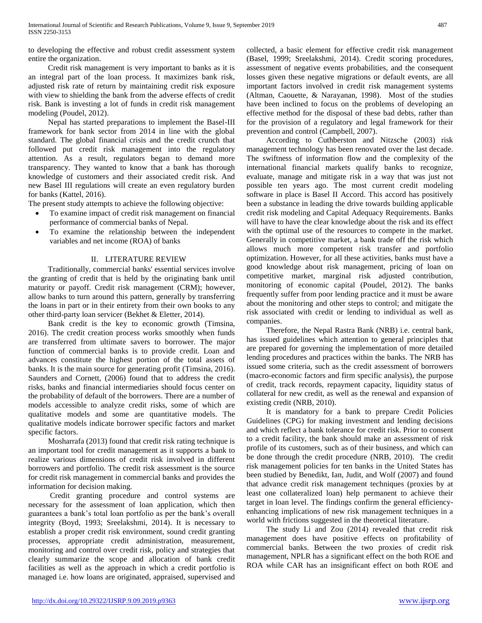to developing the effective and robust credit assessment system entire the organization.

 Credit risk management is very important to banks as it is an integral part of the loan process. It maximizes bank risk, adjusted risk rate of return by maintaining credit risk exposure with view to shielding the bank from the adverse effects of credit risk. Bank is investing a lot of funds in credit risk management modeling (Poudel, 2012).

 Nepal has started preparations to implement the Basel-III framework for bank sector from 2014 in line with the global standard. The global financial crisis and the credit crunch that followed put credit risk management into the regulatory attention. As a result, regulators began to demand more transparency. They wanted to know that a bank has thorough knowledge of customers and their associated credit risk. And new Basel III regulations will create an even regulatory burden for banks (Kattel, 2016).

The present study attempts to achieve the following objective:

- To examine impact of credit risk management on financial performance of commercial banks of Nepal.
- To examine the relationship between the independent variables and net income (ROA) of banks

# II. LITERATURE REVIEW

 Traditionally, commercial banks' essential services involve the granting of credit that is held by the originating bank until maturity or payoff. Credit risk management (CRM); however, allow banks to turn around this pattern, generally by transferring the loans in part or in their entirety from their own books to any other third-party loan servicer (Bekhet & Eletter, 2014).

 Bank credit is the key to economic growth (Timsina, 2016). The credit creation process works smoothly when funds are transferred from ultimate savers to borrower. The major function of commercial banks is to provide credit. Loan and advances constitute the highest portion of the total assets of banks. It is the main source for generating profit (Timsina, 2016). Saunders and Cornett, (2006) found that to address the credit risks, banks and financial intermediaries should focus center on the probability of default of the borrowers. There are a number of models accessible to analyze credit risks, some of which are qualitative models and some are quantitative models. The qualitative models indicate borrower specific factors and market specific factors.

 Mosharrafa (2013) found that credit risk rating technique is an important tool for credit management as it supports a bank to realize various dimensions of credit risk involved in different borrowers and portfolio. The credit risk assessment is the source for credit risk management in commercial banks and provides the information for decision making.

 Credit granting procedure and control systems are necessary for the assessment of loan application, which then guarantees a bank's total loan portfolio as per the bank's overall integrity (Boyd, 1993; Sreelakshmi, 2014). It is necessary to establish a proper credit risk environment, sound credit granting processes, appropriate credit administration, measurement, monitoring and control over credit risk, policy and strategies that clearly summarize the scope and allocation of bank credit facilities as well as the approach in which a credit portfolio is managed i.e. how loans are originated, appraised, supervised and

collected, a basic element for effective credit risk management (Basel, 1999; Sreelakshmi, 2014). Credit scoring procedures, assessment of negative events probabilities, and the consequent losses given these negative migrations or default events, are all important factors involved in credit risk management systems (Altman, Caouette, & Narayanan, 1998). Most of the studies have been inclined to focus on the problems of developing an effective method for the disposal of these bad debts, rather than for the provision of a regulatory and legal framework for their prevention and control (Campbell, 2007).

 According to Cuthberston and Nitzsche (2003) risk management technology has been renovated over the last decade. The swiftness of information flow and the complexity of the international financial markets qualify banks to recognize, evaluate, manage and mitigate risk in a way that was just not possible ten years ago. The most current credit modeling software in place is Basel II Accord. This accord has positively been a substance in leading the drive towards building applicable credit risk modeling and Capital Adequacy Requirements. Banks will have to have the clear knowledge about the risk and its effect with the optimal use of the resources to compete in the market. Generally in competitive market, a bank trade off the risk which allows much more competent risk transfer and portfolio optimization. However, for all these activities, banks must have a good knowledge about risk management, pricing of loan on competitive market, marginal risk adjusted contribution, monitoring of economic capital (Poudel, 2012). The banks frequently suffer from poor lending practice and it must be aware about the monitoring and other steps to control; and mitigate the risk associated with credit or lending to individual as well as companies.

 Therefore, the Nepal Rastra Bank (NRB) i.e. central bank, has issued guidelines which attention to general principles that are prepared for governing the implementation of more detailed lending procedures and practices within the banks. The NRB has issued some criteria, such as the credit assessment of borrowers (macro-economic factors and firm specific analysis), the purpose of credit, track records, repayment capacity, liquidity status of collateral for new credit, as well as the renewal and expansion of existing credit (NRB, 2010).

 It is mandatory for a bank to prepare Credit Policies Guidelines (CPG) for making investment and lending decisions and which reflect a bank tolerance for credit risk. Prior to consent to a credit facility, the bank should make an assessment of risk profile of its customers, such as of their business, and which can be done through the credit procedure (NRB, 2010). The credit risk management policies for ten banks in the United States has been studied by Benedikt, Ian, Judit, and Wolf (2007) and found that advance credit risk management techniques (proxies by at least one collateralized loan) help permanent to achieve their target in loan level. The findings confirm the general efficiencyenhancing implications of new risk management techniques in a world with frictions suggested in the theoretical literature.

 The study Li and Zou (2014) revealed that credit risk management does have positive effects on profitability of commercial banks. Between the two proxies of credit risk management, NPLR has a significant effect on the both ROE and ROA while CAR has an insignificant effect on both ROE and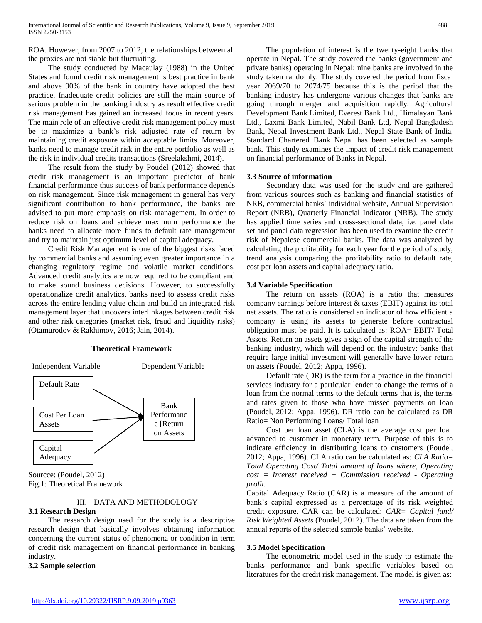ROA. However, from 2007 to 2012, the relationships between all the proxies are not stable but fluctuating.

 The study conducted by Macaulay (1988) in the United States and found credit risk management is best practice in bank and above 90% of the bank in country have adopted the best practice. Inadequate credit policies are still the main source of serious problem in the banking industry as result effective credit risk management has gained an increased focus in recent years. The main role of an effective credit risk management policy must be to maximize a bank's risk adjusted rate of return by maintaining credit exposure within acceptable limits. Moreover, banks need to manage credit risk in the entire portfolio as well as the risk in individual credits transactions (Sreelakshmi, 2014).

 The result from the study by Poudel (2012) showed that credit risk management is an important predictor of bank financial performance thus success of bank performance depends on risk management. Since risk management in general has very significant contribution to bank performance, the banks are advised to put more emphasis on risk management. In order to reduce risk on loans and achieve maximum performance the banks need to allocate more funds to default rate management and try to maintain just optimum level of capital adequacy.

 Credit Risk Management is one of the biggest risks faced by commercial banks and assuming even greater importance in a changing regulatory regime and volatile market conditions. Advanced credit analytics are now required to be compliant and to make sound business decisions. However, to successfully operationalize credit analytics, banks need to assess credit risks across the entire lending value chain and build an integrated risk management layer that uncovers interlinkages between credit risk and other risk categories (market risk, fraud and liquidity risks) (Otamurodov & Rakhimov, 2016; Jain, 2014).

## **Theoretical Framework**



Sourcce: (Poudel, 2012) Fig.1: Theoretical Framework

# III. DATA AND METHODOLOGY

# **3.1 Research Design**

 The research design used for the study is a descriptive research design that basically involves obtaining information concerning the current status of phenomena or condition in term of credit risk management on financial performance in banking industry.

**3.2 Sample selection**

 The population of interest is the twenty-eight banks that operate in Nepal. The study covered the banks (government and private banks) operating in Nepal; nine banks are involved in the study taken randomly. The study covered the period from fiscal year 2069/70 to 2074/75 because this is the period that the banking industry has undergone various changes that banks are going through merger and acquisition rapidly. Agricultural Development Bank Limited, Everest Bank Ltd., Himalayan Bank Ltd., Laxmi Bank Limited, Nabil Bank Ltd, Nepal Bangladesh Bank, Nepal Investment Bank Ltd., Nepal State Bank of India, Standard Chartered Bank Nepal has been selected as sample bank. This study examines the impact of credit risk management on financial performance of Banks in Nepal.

## **3.3 Source of information**

 Secondary data was used for the study and are gathered from various sources such as banking and financial statistics of NRB, commercial banks` individual website, Annual Supervision Report (NRB), Quarterly Financial Indicator (NRB). The study has applied time series and cross-sectional data, i.e. panel data set and panel data regression has been used to examine the credit risk of Nepalese commercial banks. The data was analyzed by calculating the profitability for each year for the period of study, trend analysis comparing the profitability ratio to default rate, cost per loan assets and capital adequacy ratio.

## **3.4 Variable Specification**

 The return on assets (ROA) is a ratio that measures company earnings before interest & taxes (EBIT) against its total net assets. The ratio is considered an indicator of how efficient a company is using its assets to generate before contractual obligation must be paid. It is calculated as: ROA= EBIT/ Total Assets. Return on assets gives a sign of the capital strength of the banking industry, which will depend on the industry; banks that require large initial investment will generally have lower return on assets (Poudel, 2012; Appa, 1996).

 Default rate (DR) is the term for a practice in the financial services industry for a particular lender to change the terms of a loan from the normal terms to the default terms that is, the terms and rates given to those who have missed payments on loan (Poudel, 2012; Appa, 1996). DR ratio can be calculated as DR Ratio= Non Performing Loans/ Total loan

 Cost per loan asset (CLA) is the average cost per loan advanced to customer in monetary term. Purpose of this is to indicate efficiency in distributing loans to customers (Poudel, 2012; Appa, 1996). CLA ratio can be calculated as: *CLA Ratio= Total Operating Cost/ Total amount of loans where, Operating cost = Interest received + Commission received - Operating profit.* 

Capital Adequacy Ratio (CAR) is a measure of the amount of bank's capital expressed as a percentage of its risk weighted credit exposure. CAR can be calculated: *CAR= Capital fund/ Risk Weighted Assets* (Poudel, 2012)*.* The data are taken from the annual reports of the selected sample banks' website.

# **3.5 Model Specification**

 The econometric model used in the study to estimate the banks performance and bank specific variables based on literatures for the credit risk management. The model is given as: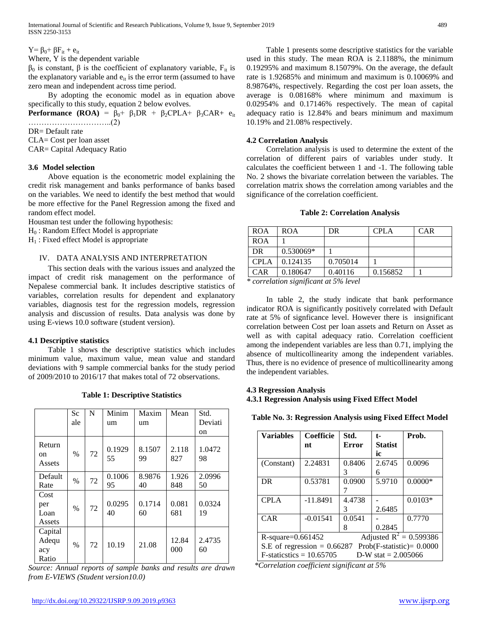$Y = \beta_0 + \beta F_{it} + e_{it}$ 

Where, Y is the dependent variable

 $β<sub>0</sub>$  is constant, β is the coefficient of explanatory variable, F<sub>it</sub> is the explanatory variable and  $e_{it}$  is the error term (assumed to have zero mean and independent across time period.

 By adopting the economic model as in equation above specifically to this study, equation 2 below evolves.

**Performance (ROA) =**  $\beta_0$ **+**  $\beta_1$ **DR +**  $\beta_2$ **CPLA+**  $\beta_3$ **CAR+**  $e_{it}$ …………………………..(2)

DR= Default rate

CLA= Cost per loan asset

CAR= Capital Adequacy Ratio

## **3.6 Model selection**

 Above equation is the econometric model explaining the credit risk management and banks performance of banks based on the variables. We need to identify the best method that would be more effective for the Panel Regression among the fixed and random effect model.

Housman test under the following hypothesis:

H<sup>0</sup> : Random Effect Model is appropriate

 $H_1$ : Fixed effect Model is appropriate

## IV. DATA ANALYSIS AND INTERPRETATION

 This section deals with the various issues and analyzed the impact of credit risk management on the performance of Nepalese commercial bank. It includes descriptive statistics of variables, correlation results for dependent and explanatory variables, diagnosis test for the regression models, regression analysis and discussion of results. Data analysis was done by using E-views 10.0 software (student version).

#### **4.1 Descriptive statistics**

 Table 1 shows the descriptive statistics which includes minimum value, maximum value, mean value and standard deviations with 9 sample commercial banks for the study period of 2009/2010 to 2016/17 that makes total of 72 observations.

**Table 1: Descriptive Statistics**

|                                  | <b>Sc</b><br>ale | N  | Minim<br>um  | Maxim<br>um  | Mean         | Std.<br>Deviati<br>on |
|----------------------------------|------------------|----|--------------|--------------|--------------|-----------------------|
| Return<br>on<br>Assets           | $\%$             | 72 | 0.1929<br>55 | 8.1507<br>99 | 2.118<br>827 | 1.0472<br>98          |
| Default<br>Rate                  | $\%$             | 72 | 0.1006<br>95 | 8.9876<br>40 | 1.926<br>848 | 2.0996<br>50          |
| Cost<br>per<br>Loan<br>Assets    | $\%$             | 72 | 0.0295<br>40 | 0.1714<br>60 | 0.081<br>681 | 0.0324<br>19          |
| Capital<br>Adequ<br>acy<br>Ratio | $\%$             | 72 | 10.19        | 21.08        | 12.84<br>000 | 2.4735<br>60          |

*Source: Annual reports of sample banks and results are drawn from E-VIEWS (Student version10.0)*

 Table 1 presents some descriptive statistics for the variable used in this study. The mean ROA is 2.1188%, the minimum 0.19295% and maximum 8.15079%. On the average, the default rate is 1.92685% and minimum and maximum is 0.10069% and 8.98764%, respectively. Regarding the cost per loan assets, the average is 0.08168% where minimum and maximum is 0.02954% and 0.17146% respectively. The mean of capital adequacy ratio is 12.84% and bears minimum and maximum 10.19% and 21.08% respectively.

## **4.2 Correlation Analysis**

 Correlation analysis is used to determine the extent of the correlation of different pairs of variables under study. It calculates the coefficient between 1 and -1. The following table No. 2 shows the bivariate correlation between the variables. The correlation matrix shows the correlation among variables and the significance of the correlation coefficient.

#### **Table 2: Correlation Analysis**

| <b>ROA</b>  | ROA         | DR.      | <b>CPLA</b> | <b>CAR</b> |
|-------------|-------------|----------|-------------|------------|
| <b>ROA</b>  |             |          |             |            |
| DR          | $0.530069*$ |          |             |            |
| <b>CPLA</b> | 0.124135    | 0.705014 |             |            |
| CAR         | 0.180647    | 0.40116  | 0.156852    |            |

*\* correlation significant at 5% level*

 In table 2, the study indicate that bank performance indicator ROA is significantly positively correlated with Default rate at 5% of signficance level. However there is insignificant correlation between Cost per loan assets and Return on Asset as well as with capital adequacy ratio. Correlation coefficient among the independent variables are less than 0.71, implying the absence of multicollinearity among the independent variables. Thus, there is no evidence of presence of multicollinearity among the independent variables.

# **4.3 Regression Analysis**

#### **4.3.1 Regression Analysis using Fixed Effect Model**

**Table No. 3: Regression Analysis using Fixed Effect Model**

| <b>Variables</b>                                             | Coefficie  | Std.         | t-             | Prob.     |  |  |
|--------------------------------------------------------------|------------|--------------|----------------|-----------|--|--|
|                                                              | nt         | <b>Error</b> | <b>Statist</b> |           |  |  |
|                                                              |            |              | ic             |           |  |  |
| (Constant)                                                   | 2.24831    | 0.8406       | 2.6745         | 0.0096    |  |  |
|                                                              |            | 3            | 6              |           |  |  |
| DR.                                                          | 0.53781    | 0.0900       | 5.9710         | $0.0000*$ |  |  |
|                                                              |            |              |                |           |  |  |
| <b>CPLA</b>                                                  | $-11.8491$ | 4.4738       |                | $0.0103*$ |  |  |
|                                                              |            | 3            | 2.6485         |           |  |  |
| CAR                                                          | $-0.01541$ | 0.0541       |                | 0.7770    |  |  |
|                                                              |            | 8            | 0.2845         |           |  |  |
| Adjusted $R^2 = 0.599386$<br>$R$ -square=0.661452            |            |              |                |           |  |  |
| S.E of regression = $0.66287$<br>$Prob(F-statistic)= 0.0000$ |            |              |                |           |  |  |
| $F-statistics = 10.65705$<br>D-W stat $= 2.005066$           |            |              |                |           |  |  |

 *\*Correlation coefficient significant at 5%*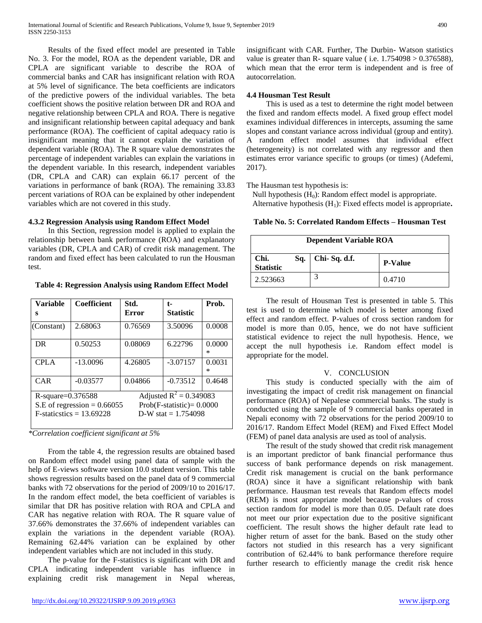Results of the fixed effect model are presented in Table No. 3. For the model, ROA as the dependent variable, DR and CPLA are significant variable to describe the ROA of commercial banks and CAR has insignificant relation with ROA at 5% level of significance. The beta coefficients are indicators of the predictive powers of the individual variables. The beta coefficient shows the positive relation between DR and ROA and negative relationship between CPLA and ROA. There is negative and insignificant relationship between capital adequacy and bank performance (ROA). The coefficient of capital adequacy ratio is insignificant meaning that it cannot explain the variation of dependent variable (ROA). The R square value demonstrates the percentage of independent variables can explain the variations in the dependent variable. In this research, independent variables (DR, CPLA and CAR) can explain 66.17 percent of the variations in performance of bank (ROA). The remaining 33.83 percent variations of ROA can be explained by other independent variables which are not covered in this study.

## **4.3.2 Regression Analysis using Random Effect Model**

 In this Section, regression model is applied to explain the relationship between bank performance (ROA) and explanatory variables (DR, CPLA and CAR) of credit risk management. The random and fixed effect has been calculated to run the Housman test.

**Table 4: Regression Analysis using Random Effect Model**

| <b>Variable</b><br>s                                                                                                                                                   | <b>Coefficient</b> | Std.<br>Error | t-<br><b>Statistic</b> | Prob.       |
|------------------------------------------------------------------------------------------------------------------------------------------------------------------------|--------------------|---------------|------------------------|-------------|
| (Constant)                                                                                                                                                             | 2.68063            | 0.76569       | 3.50096                | 0.0008      |
| DR                                                                                                                                                                     | 0.50253            | 0.08069       | 6.22796                | 0.0000<br>∗ |
| <b>CPLA</b>                                                                                                                                                            | $-13.0096$         | 4.26805       | $-3.07157$             | 0.0031<br>∗ |
| CAR                                                                                                                                                                    | $-0.03577$         | 0.04866       | $-0.73512$             | 0.4648      |
| Adjusted $R^2 = 0.349083$<br>$R$ -square=0.376588<br>S.E of regression = $0.66055$<br>$Prob(F-statistic)=0.0000$<br>$F-statistics = 13.69228$<br>D-W stat = $1.754098$ |                    |               |                        |             |

*\*Correlation coefficient significant at 5%* 

 From the table 4, the regression results are obtained based on Random effect model using panel data of sample with the help of E-views software version 10.0 student version. This table shows regression results based on the panel data of 9 commercial banks with 72 observations for the period of 2009/10 to 2016/17. In the random effect model, the beta coefficient of variables is similar that DR has positive relation with ROA and CPLA and CAR has negative relation with ROA. The R square value of 37.66% demonstrates the 37.66% of independent variables can explain the variations in the dependent variable (ROA). Remaining 62.44% variation can be explained by other independent variables which are not included in this study.

 The p-value for the F-statistics is significant with DR and CPLA indicating independent variable has influence in explaining credit risk management in Nepal whereas, insignificant with CAR. Further, The Durbin- Watson statistics value is greater than R- square value (i.e.  $1.754098 > 0.376588$ ), which mean that the error term is independent and is free of autocorrelation.

# **4.4 Housman Test Result**

 This is used as a test to determine the right model between the fixed and random effects model. A fixed group effect model examines individual differences in intercepts, assuming the same slopes and constant variance across individual (group and entity). A random effect model assumes that individual effect (heterogeneity) is not correlated with any regressor and then estimates error variance specific to groups (or times) (Adefemi, 2017).

The Hausman test hypothesis is:

Null hypothesis  $(H_0)$ : Random effect model is appropriate. Alternative hypothesis (H<sub>1</sub>): Fixed effects model is appropriate.

| <b>Dependent Variable ROA</b>                                     |  |  |        |  |
|-------------------------------------------------------------------|--|--|--------|--|
| Chi-Sq. d.f.<br>Chi.<br>Sq.<br><b>P-Value</b><br><b>Statistic</b> |  |  |        |  |
| 2.523663                                                          |  |  | 0.4710 |  |

 The result of Housman Test is presented in table 5. This test is used to determine which model is better among fixed effect and random effect. P-values of cross section random for model is more than 0.05, hence, we do not have sufficient statistical evidence to reject the null hypothesis. Hence, we accept the null hypothesis i.e. Random effect model is appropriate for the model.

# V. CONCLUSION

 This study is conducted specially with the aim of investigating the impact of credit risk management on financial performance (ROA) of Nepalese commercial banks. The study is conducted using the sample of 9 commercial banks operated in Nepali economy with 72 observations for the period 2009/10 to 2016/17. Random Effect Model (REM) and Fixed Effect Model (FEM) of panel data analysis are used as tool of analysis.

 The result of the study showed that credit risk management is an important predictor of bank financial performance thus success of bank performance depends on risk management. Credit risk management is crucial on the bank performance (ROA) since it have a significant relationship with bank performance. Hausman test reveals that Random effects model (REM) is most appropriate model because p-values of cross section random for model is more than 0.05*.* Default rate does not meet our prior expectation due to the positive significant coefficient. The result shows the higher default rate lead to higher return of asset for the bank. Based on the study other factors not studied in this research has a very significant contribution of 62.44% to bank performance therefore require further research to efficiently manage the credit risk hence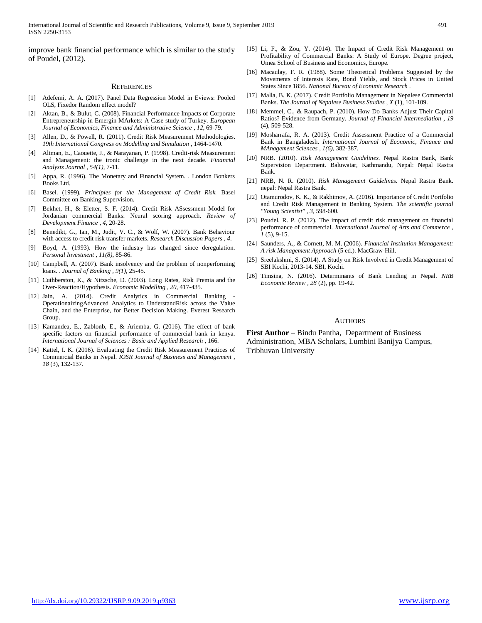improve bank financial performance which is similar to the study of Poudel, (2012).

#### **REFERENCES**

- [1] Adefemi, A. A. (2017). Panel Data Regression Model in Eviews: Pooled OLS, Fixedor Random effect model?
- Aktan, B., & Bulut, C. (2008). Financial Performance Impacts of Corporate Entrepreneurship in Emergin MArkets: A Case study of Turkey. *European Journal of Economics, Finance and Administrative Science , 12*, 69-79.
- [3] Allen, D., & Powell, R. (2011). Credit Risk Measurement Methodologies. *19th International Congress on Modelling and Simulation* , 1464-1470.
- [4] Altman, E., Caouette, J., & Narayanan, P. (1998). Credit-risk Measurement and Management: the ironic challenge in the next decade. *Financial Analysts Journal , 54(1)*, 7-11.
- [5] Appa, R. (1996). The Monetary and Financial System. . London Bonkers Books Ltd.
- [6] Basel. (1999). *Principles for the Management of Credit Risk.* Basel Committee on Banking Supervision.
- [7] Bekhet, H., & Eletter, S. F. (2014). Credit Risk ASsessment Model for Jordanian commercial Banks: Neural scoring approach. *Review of Development Finance , 4*, 20-28.
- [8] Benedikt, G., Ian, M., Judit, V. C., & Wolf, W. (2007). Bank Behaviour with access to credit risk transfer markets. *Research Discussion Papers , 4*.
- [9] Boyd, A. (1993). How the industry has changed since deregulation. *Personal Investment , 11(8)*, 85-86.
- [10] Campbell, A. (2007). Bank insolvency and the problem of nonperforming loans. . *Journal of Banking , 9(1)*, 25-45.
- [11] Cuthberston, K., & Nitzsche, D. (2003). Long Rates, Risk Premia and the Over-Reaction/Hypothesis. *Economic Modelling , 20*, 417-435.
- [12] Jain, A. (2014). Credit Analytics in Commercial Banking OperationaizingAdvanced Analytics to UnderstandRisk across the Value Chain, and the Enterprise, for Better Decision Making. Everest Research Group.
- [13] Kamandea, E., Zablonb, E., & Ariemba, G. (2016). The effect of bank specific factors on financial performance of commercial bank in kenya. *International Journal of Sciences : Basic and Applied Research* , 166.
- [14] Kattel, I. K. (2016). Evaluating the Credit Risk Measurement Practices of Commercial Banks in Nepal. *IOSR Journal of Business and Management , 18* (3), 132-137.
- [15] Li, F., & Zou, Y. (2014). The Impact of Credit Risk Management on Profitability of Commercial Banks: A Study of Europe. Degree project, Umea School of Business and Economics, Europe.
- [16] Macaulay, F. R. (1988). Some Theoretical Problems Suggested by the Movements of Interests Rate, Bond Yields, and Stock Prices in United States Since 1856. *National Bureau of Econimic Research* .
- [17] Malla, B. K. (2017). Credit Portfolio Management in Nepalese Commercial Banks. *The Journal of Nepalese Business Studies , X* (1), 101-109.
- [18] Memmel, C., & Raupach, P. (2010). How Do Banks Adjust Their Capital Ratios? Evidence from Germany. *Journal of Financial Intermediation , 19* (4), 509-528.
- [19] Mosharrafa, R. A. (2013). Credit Assessment Practice of a Commercial Bank in Bangaladesh. *International Journal of Economic, Finance and MAnagement Sciences , 1(6)*, 382-387.
- [20] NRB. (2010). *Risk Management Guidelines.* Nepal Rastra Bank, Bank Supervision Department. Baluwatar, Kathmandu, Nepal: Nepal Rastra Bank.
- [21] NRB, N. R. (2010). *Risk Management Guidelines.* Nepal Rastra Bank. nepal: Nepal Rastra Bank.
- [22] Otamurodov, K. K., & Rakhimov, A. (2016). Importance of Credit Portfolio and Credit Risk Management in Banking System. *The scientific journal "Young Scientist" , 3*, 598-600.
- [23] Poudel, R. P. (2012). The impact of credit risk management on financial performance of commercial. *International Journal of Arts and Commerce , 1* (5), 9-15.
- [24] Saunders, A., & Cornett, M. M. (2006). *Financial Institution Management: A risk Management Approach* (5 ed.). MacGraw-Hill.
- [25] Sreelakshmi, S. (2014). A Study on Risk Involved in Credit Management of SBI Kochi, 2013-14. SBI, Kochi.
- [26] Timsina, N. (2016). Determinants of Bank Lending in Nepal. *NRB Economic Review , 28* (2), pp. 19-42.

#### AUTHORS

**First Author** – Bindu Pantha, Department of Business Administration, MBA Scholars, Lumbini Banijya Campus, Tribhuvan University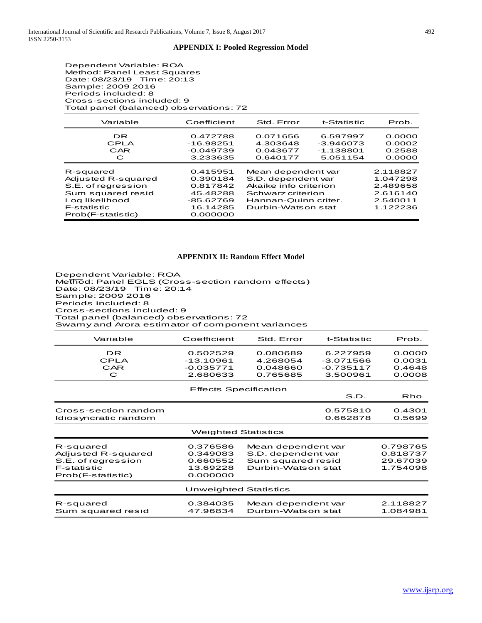#### **APPENDIX I: Pooled Regression Model**

Dependent Variable: ROA Method: Panel Least Squares Date: 08/23/19 Time: 20:13 Sample: 2009 2016 Periods included: 8 Cross-sections included: 9 Total panel (balanced) observations: 72

| Variable                                                                                                                                | Coefficient                                                                       | Std. Error                                                                                                                           | t-Statistic                                        | Prob.                                                                |
|-----------------------------------------------------------------------------------------------------------------------------------------|-----------------------------------------------------------------------------------|--------------------------------------------------------------------------------------------------------------------------------------|----------------------------------------------------|----------------------------------------------------------------------|
| DR.<br>CPLA<br>CAR<br>C                                                                                                                 | 0.472788<br>$-16.98251$<br>$-0.049739$<br>3.233635                                | 0.071656<br>4.303648<br>0.043677<br>0.640177                                                                                         | 6.597997<br>$-3.946073$<br>$-1.138801$<br>5.051154 | 0.0000<br>0.0002<br>0.2588<br>0.0000                                 |
| R-squared<br>Adiusted R-squared<br>S.E. of rearession<br>Sum squared resid<br>Log likelihood<br><b>F-statistic</b><br>Prob(F-statistic) | 0.415951<br>0.390184<br>0.817842<br>45.48288<br>-85.62769<br>16.14285<br>0.000000 | Mean dependent var<br>S.D. dependent var<br>Akaike info criterion<br>Schwarz criterion<br>Hannan-Quinn criter.<br>Durbin-Watson stat |                                                    | 2.118827<br>1.047298<br>2.489658<br>2.616140<br>2.540011<br>1.122236 |

#### **APPENDIX II: Random Effect Model**

Dependent Variable: ROA Method: Panel EGLS (Cross-section random effects) Date: 08/23/19 Time: 20:14 Sample: 2009 2016 Periods included: 8 Cross-sections included: 9 Total panel (balanced) observations: 72 Swamy and Arora estimator of component variances

| Variable                                                                                         | Coefficient                                              | Std. Error                                                                          | t-Statistic                                        | Prob.                                        |
|--------------------------------------------------------------------------------------------------|----------------------------------------------------------|-------------------------------------------------------------------------------------|----------------------------------------------------|----------------------------------------------|
| <b>DR</b><br>CPLA<br>CAR<br>C                                                                    | 0.502529<br>$-13.10961$<br>$-0.035771$<br>2.680633       | 0.080689<br>4.268054<br>0.048660<br>0.765685                                        | 6.227959<br>$-3.071566$<br>$-0.735117$<br>3.500961 | 0.0000<br>0.0031<br>0.4648<br>0.0008         |
|                                                                                                  | <b>Effects Specification</b>                             |                                                                                     | S.D.                                               | Rho                                          |
| Cross-section random<br>Idios yncratic random                                                    |                                                          |                                                                                     | 0.575810<br>0.662878                               | 0.4301<br>0.5699                             |
|                                                                                                  | <b>Weighted Statistics</b>                               |                                                                                     |                                                    |                                              |
| R-squared<br>Adjusted R-squared<br>S.E. of regression<br><b>F-statistic</b><br>Prob(F-statistic) | 0.376586<br>0.349083<br>0.660552<br>13.69228<br>0.000000 | Mean dependent var<br>S.D. dependent var<br>Sum squared resid<br>Durbin-Watson stat |                                                    | 0.798765<br>0.818737<br>29.67039<br>1.754098 |
|                                                                                                  | <b>Unweighted Statistics</b>                             |                                                                                     |                                                    |                                              |
| R-squared<br>Sum squared resid                                                                   | 0.384035<br>47.96834                                     | Mean dependent var<br>Durbin-Watson stat                                            |                                                    | 2.118827<br>1.084981                         |